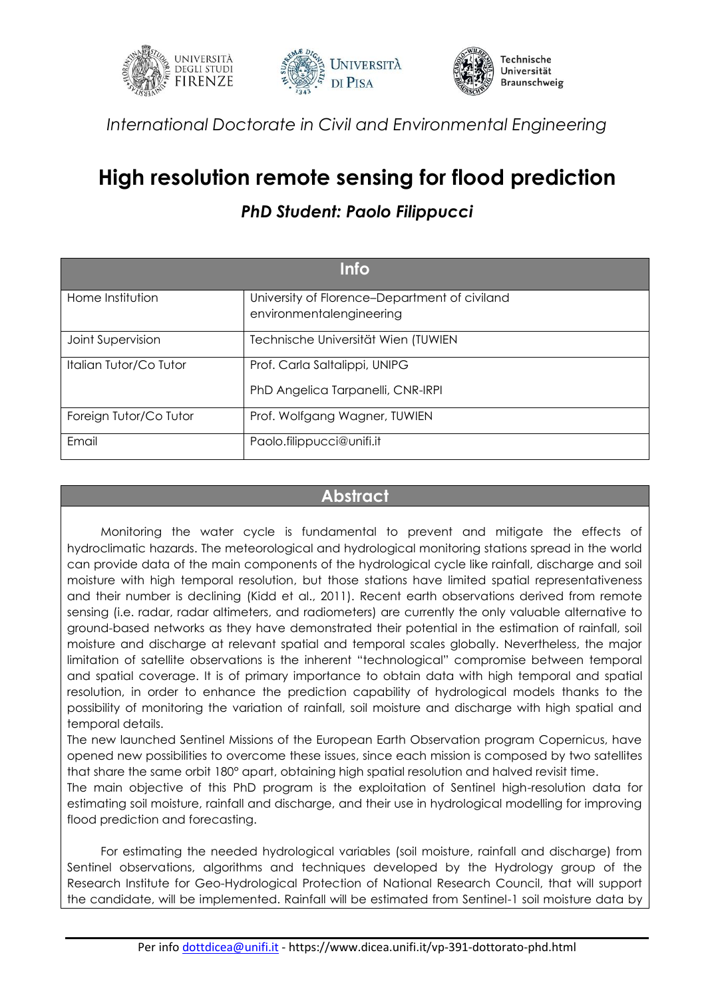





*International Doctorate in Civil and Environmental Engineering*

## **High resolution remote sensing for flood prediction**

## *PhD Student: Paolo Filippucci*

| <b>Info</b>            |                                                                           |
|------------------------|---------------------------------------------------------------------------|
| Home Institution       | University of Florence-Department of civiland<br>environmentalengineering |
| Joint Supervision      | Technische Universität Wien (TUWIEN                                       |
| Italian Tutor/Co Tutor | Prof. Carla Saltalippi, UNIPG<br>PhD Angelica Tarpanelli, CNR-IRPI        |
| Foreign Tutor/Co Tutor | Prof. Wolfgang Wagner, TUWIEN                                             |
| Email                  | Paolo.filippucci@unifi.it                                                 |

## **Abstract**

Monitoring the water cycle is fundamental to prevent and mitigate the effects of hydroclimatic hazards. The meteorological and hydrological monitoring stations spread in the world can provide data of the main components of the hydrological cycle like rainfall, discharge and soil moisture with high temporal resolution, but those stations have limited spatial representativeness and their number is declining (Kidd et al., 2011). Recent earth observations derived from remote sensing (i.e. radar, radar altimeters, and radiometers) are currently the only valuable alternative to ground-based networks as they have demonstrated their potential in the estimation of rainfall, soil moisture and discharge at relevant spatial and temporal scales globally. Nevertheless, the major limitation of satellite observations is the inherent "technological" compromise between temporal and spatial coverage. It is of primary importance to obtain data with high temporal and spatial resolution, in order to enhance the prediction capability of hydrological models thanks to the possibility of monitoring the variation of rainfall, soil moisture and discharge with high spatial and temporal details.

The new launched Sentinel Missions of the European Earth Observation program Copernicus, have opened new possibilities to overcome these issues, since each mission is composed by two satellites that share the same orbit 180° apart, obtaining high spatial resolution and halved revisit time.

The main objective of this PhD program is the exploitation of Sentinel high-resolution data for estimating soil moisture, rainfall and discharge, and their use in hydrological modelling for improving flood prediction and forecasting.

For estimating the needed hydrological variables (soil moisture, rainfall and discharge) from Sentinel observations, algorithms and techniques developed by the Hydrology group of the Research Institute for Geo-Hydrological Protection of National Research Council, that will support the candidate, will be implemented. Rainfall will be estimated from Sentinel-1 soil moisture data by